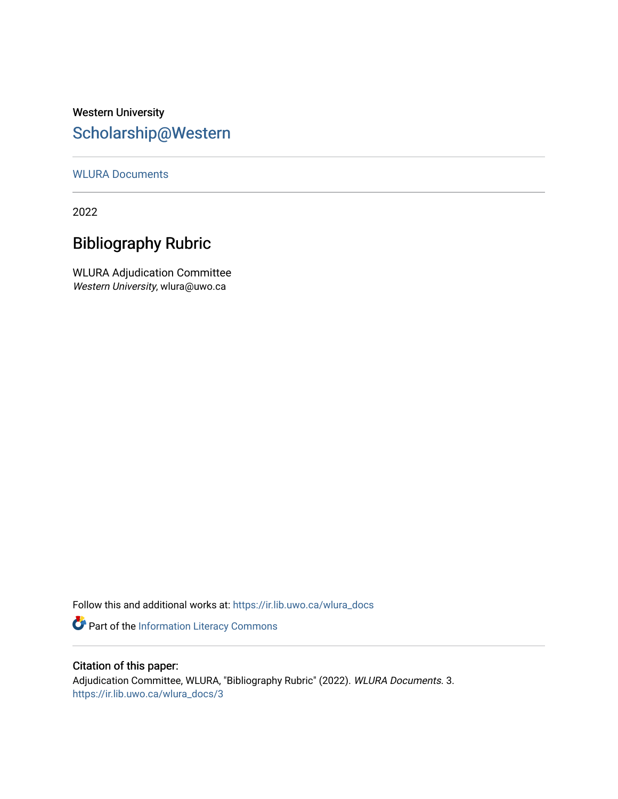## Western University [Scholarship@Western](https://ir.lib.uwo.ca/)

#### [WLURA Documents](https://ir.lib.uwo.ca/wlura_docs)

2022

## Bibliography Rubric

WLURA Adjudication Committee Western University, wlura@uwo.ca

Follow this and additional works at: [https://ir.lib.uwo.ca/wlura\\_docs](https://ir.lib.uwo.ca/wlura_docs?utm_source=ir.lib.uwo.ca%2Fwlura_docs%2F3&utm_medium=PDF&utm_campaign=PDFCoverPages) 

Part of the [Information Literacy Commons](http://network.bepress.com/hgg/discipline/1243?utm_source=ir.lib.uwo.ca%2Fwlura_docs%2F3&utm_medium=PDF&utm_campaign=PDFCoverPages)

#### Citation of this paper:

Adjudication Committee, WLURA, "Bibliography Rubric" (2022). WLURA Documents. 3. [https://ir.lib.uwo.ca/wlura\\_docs/3](https://ir.lib.uwo.ca/wlura_docs/3?utm_source=ir.lib.uwo.ca%2Fwlura_docs%2F3&utm_medium=PDF&utm_campaign=PDFCoverPages)